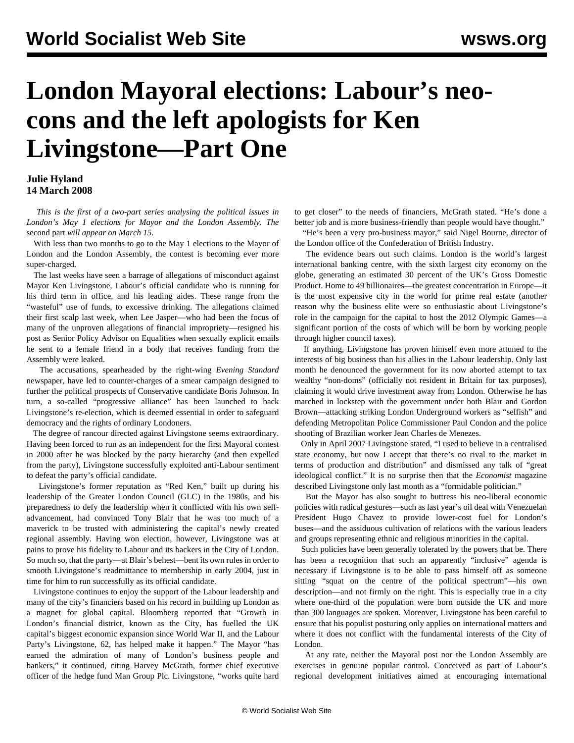## **London Mayoral elections: Labour's neocons and the left apologists for Ken Livingstone—Part One**

## **Julie Hyland 14 March 2008**

 *This is the first of a two-part series analysing the political issues in London's May 1 elections for Mayor and the London Assembly. The* [second part](liv2-m15.shtml) *will appear on March 15.*

 With less than two months to go to the May 1 elections to the Mayor of London and the London Assembly, the contest is becoming ever more super-charged.

 The last weeks have seen a barrage of allegations of misconduct against Mayor Ken Livingstone, Labour's official candidate who is running for his third term in office, and his leading aides. These range from the "wasteful" use of funds, to excessive drinking. The allegations claimed their first scalp last week, when Lee Jasper—who had been the focus of many of the unproven allegations of financial impropriety—resigned his post as Senior Policy Advisor on Equalities when sexually explicit emails he sent to a female friend in a body that receives funding from the Assembly were leaked.

 The accusations, spearheaded by the right-wing *Evening Standard* newspaper, have led to counter-charges of a smear campaign designed to further the political prospects of Conservative candidate Boris Johnson. In turn, a so-called "progressive alliance" has been launched to back Livingstone's re-election, which is deemed essential in order to safeguard democracy and the rights of ordinary Londoners.

 The degree of rancour directed against Livingstone seems extraordinary. Having been forced to run as an independent for the first Mayoral contest in 2000 after he was blocked by the party hierarchy (and then expelled from the party), Livingstone successfully exploited anti-Labour sentiment to defeat the party's official candidate.

 Livingstone's former reputation as "Red Ken," built up during his leadership of the Greater London Council (GLC) in the 1980s, and his preparedness to defy the leadership when it conflicted with his own selfadvancement, had convinced Tony Blair that he was too much of a maverick to be trusted with administering the capital's newly created regional assembly. Having won election, however, Livingstone was at pains to prove his fidelity to Labour and its backers in the City of London. So much so, that the party—at Blair's behest—bent its own rules in order to smooth Livingstone's readmittance to membership in early 2004, just in time for him to run successfully as its official candidate.

 Livingstone continues to enjoy the support of the Labour leadership and many of the city's financiers based on his record in building up London as a magnet for global capital. Bloomberg reported that "Growth in London's financial district, known as the City, has fuelled the UK capital's biggest economic expansion since World War II, and the Labour Party's Livingstone, 62, has helped make it happen." The Mayor "has earned the admiration of many of London's business people and bankers," it continued, citing Harvey McGrath, former chief executive officer of the hedge fund Man Group Plc. Livingstone, "works quite hard to get closer" to the needs of financiers, McGrath stated. "He's done a better job and is more business-friendly than people would have thought."

 "He's been a very pro-business mayor," said Nigel Bourne, director of the London office of the Confederation of British Industry.

 The evidence bears out such claims. London is the world's largest international banking centre, with the sixth largest city economy on the globe, generating an estimated 30 percent of the UK's Gross Domestic Product. Home to 49 billionaires—the greatest concentration in Europe—it is the most expensive city in the world for prime real estate (another reason why the business elite were so enthusiastic about Livingstone's role in the campaign for the capital to host the 2012 Olympic Games—a significant portion of the costs of which will be born by working people through higher council taxes).

 If anything, Livingstone has proven himself even more attuned to the interests of big business than his allies in the Labour leadership. Only last month he denounced the government for its now aborted attempt to tax wealthy "non-doms" (officially not resident in Britain for tax purposes), claiming it would drive investment away from London. Otherwise he has marched in lockstep with the government under both Blair and Gordon Brown—attacking striking London Underground workers as "selfish" and defending Metropolitan Police Commissioner Paul Condon and the police shooting of Brazilian worker Jean Charles de Menezes.

 Only in April 2007 Livingstone stated, "I used to believe in a centralised state economy, but now I accept that there's no rival to the market in terms of production and distribution" and dismissed any talk of "great ideological conflict." It is no surprise then that the *Economist* magazine described Livingstone only last month as a "formidable politician."

 But the Mayor has also sought to buttress his neo-liberal economic policies with radical gestures—such as last year's oil deal with Venezuelan President Hugo Chavez to provide lower-cost fuel for London's buses—and the assiduous cultivation of relations with the various leaders and groups representing ethnic and religious minorities in the capital.

 Such policies have been generally tolerated by the powers that be. There has been a recognition that such an apparently "inclusive" agenda is necessary if Livingstone is to be able to pass himself off as someone sitting "squat on the centre of the political spectrum"—his own description—and not firmly on the right. This is especially true in a city where one-third of the population were born outside the UK and more than 300 languages are spoken. Moreover, Livingstone has been careful to ensure that his populist posturing only applies on international matters and where it does not conflict with the fundamental interests of the City of London.

 At any rate, neither the Mayoral post nor the London Assembly are exercises in genuine popular control. Conceived as part of Labour's regional development initiatives aimed at encouraging international